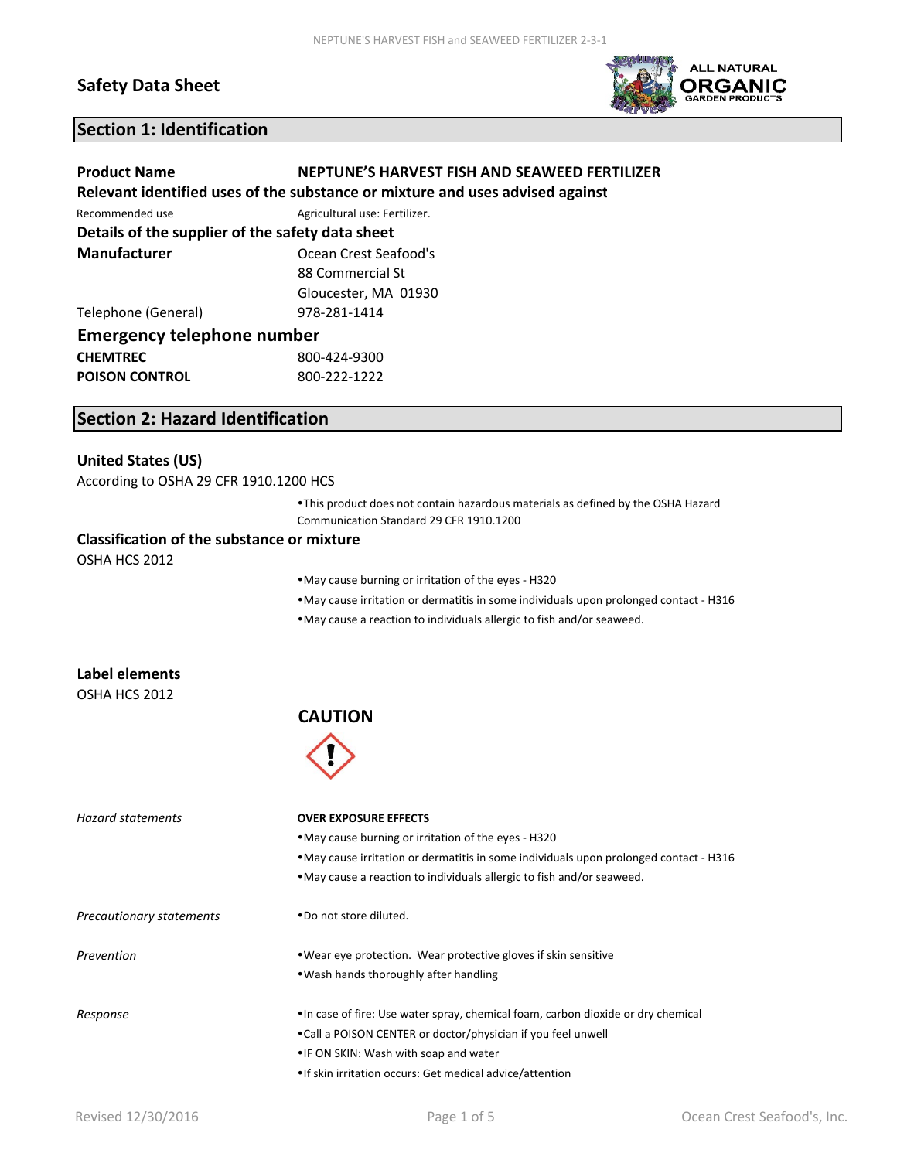### **Safety Data Sheet**



### **Section 1: Identification**

| <b>Product Name</b>                              | NEPTUNE'S HARVEST FISH AND SEAWEED FERTILIZER                                 |  |
|--------------------------------------------------|-------------------------------------------------------------------------------|--|
|                                                  | Relevant identified uses of the substance or mixture and uses advised against |  |
| Recommended use                                  | Agricultural use: Fertilizer.                                                 |  |
| Details of the supplier of the safety data sheet |                                                                               |  |
| Manufacturer                                     | Ocean Crest Seafood's                                                         |  |
|                                                  | 88 Commercial St                                                              |  |
|                                                  | Gloucester, MA 01930                                                          |  |
| Telephone (General)                              | 978-281-1414                                                                  |  |
| <b>Emergency telephone number</b>                |                                                                               |  |
| <b>CHEMTREC</b>                                  | 800-424-9300                                                                  |  |
| <b>POISON CONTROL</b>                            | 800-222-1222                                                                  |  |

### **Section 2: Hazard Identification**

#### **United States (US)**

According to OSHA 29 CFR 1910.1200 HCS

This product does not contain hazardous materials as defined by the OSHA Hazard Communication Standard 29 CFR 1910.1200

#### **Classification of the substance or mixture**

OSHA HCS 2012

May cause burning or irritation of the eyes ‐ H320

May cause irritation or dermatitis in some individuals upon prolonged contact ‐ H316

May cause a reaction to individuals allergic to fish and/or seaweed.

| Label elements |
|----------------|
| ACHA HAC 2012  |

OSHA HCS 2012

#### **CAUTION**



| Hazard statements        | <b>OVER EXPOSURE EFFECTS</b>                                                           |
|--------------------------|----------------------------------------------------------------------------------------|
|                          | • May cause burning or irritation of the eyes - H320                                   |
|                          | • May cause irritation or dermatitis in some individuals upon prolonged contact - H316 |
|                          | . May cause a reaction to individuals allergic to fish and/or seaweed.                 |
| Precautionary statements | . Do not store diluted.                                                                |
| Prevention               | • Wear eye protection. Wear protective gloves if skin sensitive                        |
|                          | • Wash hands thoroughly after handling                                                 |
| Response                 | • In case of fire: Use water spray, chemical foam, carbon dioxide or dry chemical      |
|                          | •Call a POISON CENTER or doctor/physician if you feel unwell                           |
|                          | . IF ON SKIN: Wash with soap and water                                                 |
|                          | • If skin irritation occurs: Get medical advice/attention                              |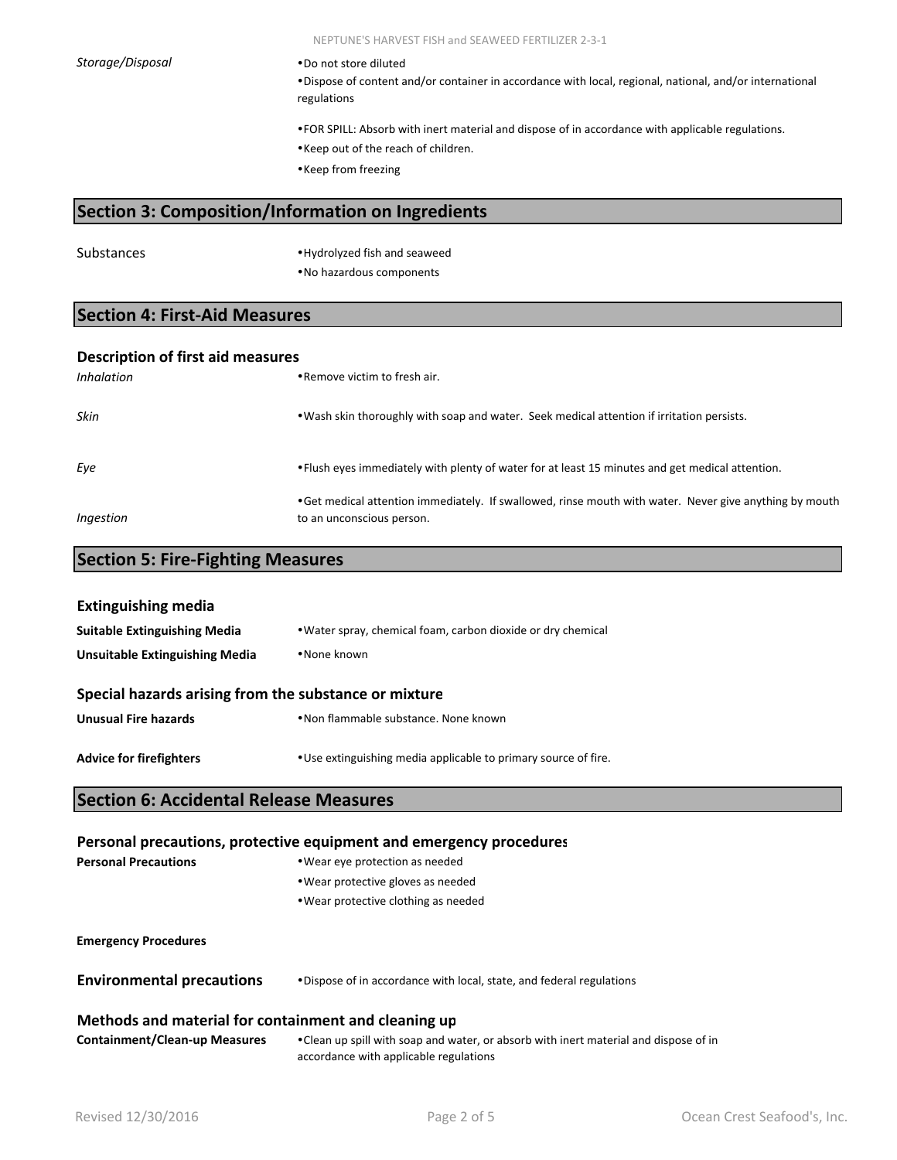**Storage/Disposal Do not store diluted** 

Dispose of content and/or container in accordance with local, regional, national, and/or international regulations

FOR SPILL: Absorb with inert material and dispose of in accordance with applicable regulations.

Keep out of the reach of children.

Keep from freezing

### **Section 3: Composition/Information on Ingredients**

Substances **Hydrolyzed** fish and seaweed No hazardous components

### **Section 4: First‐Aid Measures**

| <b>Description of first aid measures</b> |                                                                                                                                      |  |
|------------------------------------------|--------------------------------------------------------------------------------------------------------------------------------------|--|
| <i>Inhalation</i>                        | • Remove victim to fresh air.                                                                                                        |  |
| Skin                                     | . Wash skin thoroughly with soap and water. Seek medical attention if irritation persists.                                           |  |
| Eye                                      | • Flush eyes immediately with plenty of water for at least 15 minutes and get medical attention.                                     |  |
| Ingestion                                | • Get medical attention immediately. If swallowed, rinse mouth with water. Never give anything by mouth<br>to an unconscious person. |  |

### **Section 5: Fire‐Fighting Measures**

| <b>Extinguishing media</b>                            |                                                                 |  |
|-------------------------------------------------------|-----------------------------------------------------------------|--|
| <b>Suitable Extinguishing Media</b>                   | . Water spray, chemical foam, carbon dioxide or dry chemical    |  |
| •None known<br>Unsuitable Extinguishing Media         |                                                                 |  |
| Special hazards arising from the substance or mixture |                                                                 |  |
| <b>Unusual Fire hazards</b>                           | • Non flammable substance. None known                           |  |
| <b>Advice for firefighters</b>                        | • Use extinguishing media applicable to primary source of fire. |  |

#### **Section 6: Accidental Release Measures**

#### **Personal precautions, protective equipment and emergency procedures**

| <b>Personal Precautions</b>                          | • Wear eye protection as needed                                      |  |
|------------------------------------------------------|----------------------------------------------------------------------|--|
|                                                      | • Wear protective gloves as needed                                   |  |
|                                                      | • Wear protective clothing as needed                                 |  |
|                                                      |                                                                      |  |
| <b>Emergency Procedures</b>                          |                                                                      |  |
| <b>Environmental precautions</b>                     | •Dispose of in accordance with local, state, and federal regulations |  |
| Methods and material for containment and cleaning up |                                                                      |  |

**Containment/Clean‐up Measures** Clean up spill with soap and water, or absorb with inert material and dispose of in accordance with applicable regulations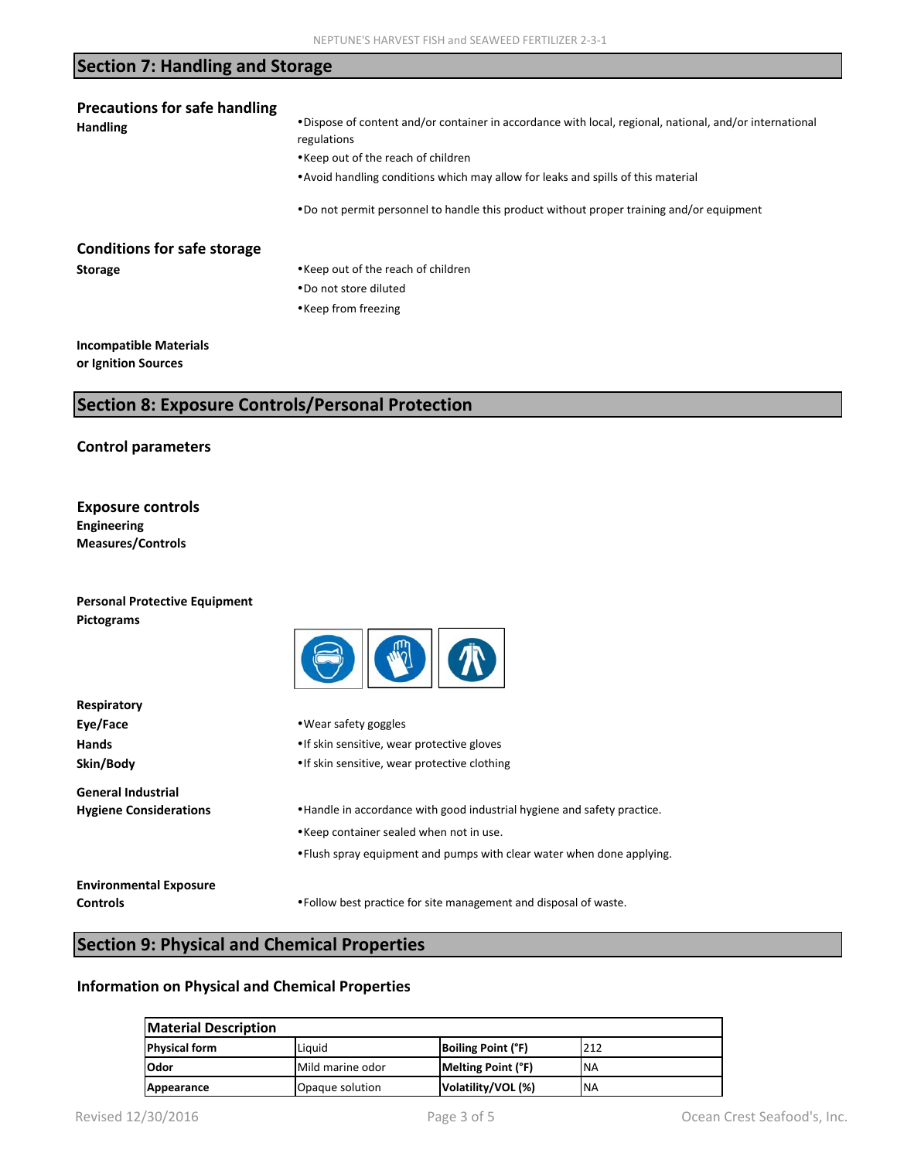## **Section 7: Handling and Storage**

| <b>Precautions for safe handling</b> |                                                                                                                         |  |  |
|--------------------------------------|-------------------------------------------------------------------------------------------------------------------------|--|--|
| <b>Handling</b>                      | • Dispose of content and/or container in accordance with local, regional, national, and/or international<br>regulations |  |  |
|                                      | • Keep out of the reach of children                                                                                     |  |  |
|                                      | • Avoid handling conditions which may allow for leaks and spills of this material                                       |  |  |
|                                      | •Do not permit personnel to handle this product without proper training and/or equipment                                |  |  |
| <b>Conditions for safe storage</b>   |                                                                                                                         |  |  |
| <b>Storage</b>                       | • Keep out of the reach of children                                                                                     |  |  |
|                                      | . Do not store diluted                                                                                                  |  |  |
|                                      | • Keep from freezing                                                                                                    |  |  |
| <b>Incompatible Materials</b>        |                                                                                                                         |  |  |

**or Ignition Sources**

### **Section 8: Exposure Controls/Personal Protection**

#### **Control parameters**

#### **Exposure controls Engineering Measures/Controls**

| <b>Personal Protective Equipment</b> |     |
|--------------------------------------|-----|
| Pictograms                           |     |
|                                      | $-$ |
| Respiratory                          |     |

| Eye/Face<br>Hands<br>Skin/Body                             | • Wear safety goggles<br>• If skin sensitive, wear protective gloves<br>• If skin sensitive, wear protective clothing                                                                          |
|------------------------------------------------------------|------------------------------------------------------------------------------------------------------------------------------------------------------------------------------------------------|
| <b>General Industrial</b><br><b>Hygiene Considerations</b> | • Handle in accordance with good industrial hygiene and safety practice.<br>• Keep container sealed when not in use.<br>• Flush spray equipment and pumps with clear water when done applying. |
| <b>Environmental Exposure</b><br><b>Controls</b>           | • Follow best practice for site management and disposal of waste.                                                                                                                              |

# **Section 9: Physical and Chemical Properties**

#### **Information on Physical and Chemical Properties**

| <b>Material Description</b> |                  |                           |           |
|-----------------------------|------------------|---------------------------|-----------|
| <b>Physical form</b>        | Liguid           | <b>Boiling Point (°F)</b> | 212       |
| l Odor                      | Mild marine odor | Melting Point (°F)        | 'NA       |
| Appearance                  | Opaque solution  | Volatility/VOL (%)        | <b>NA</b> |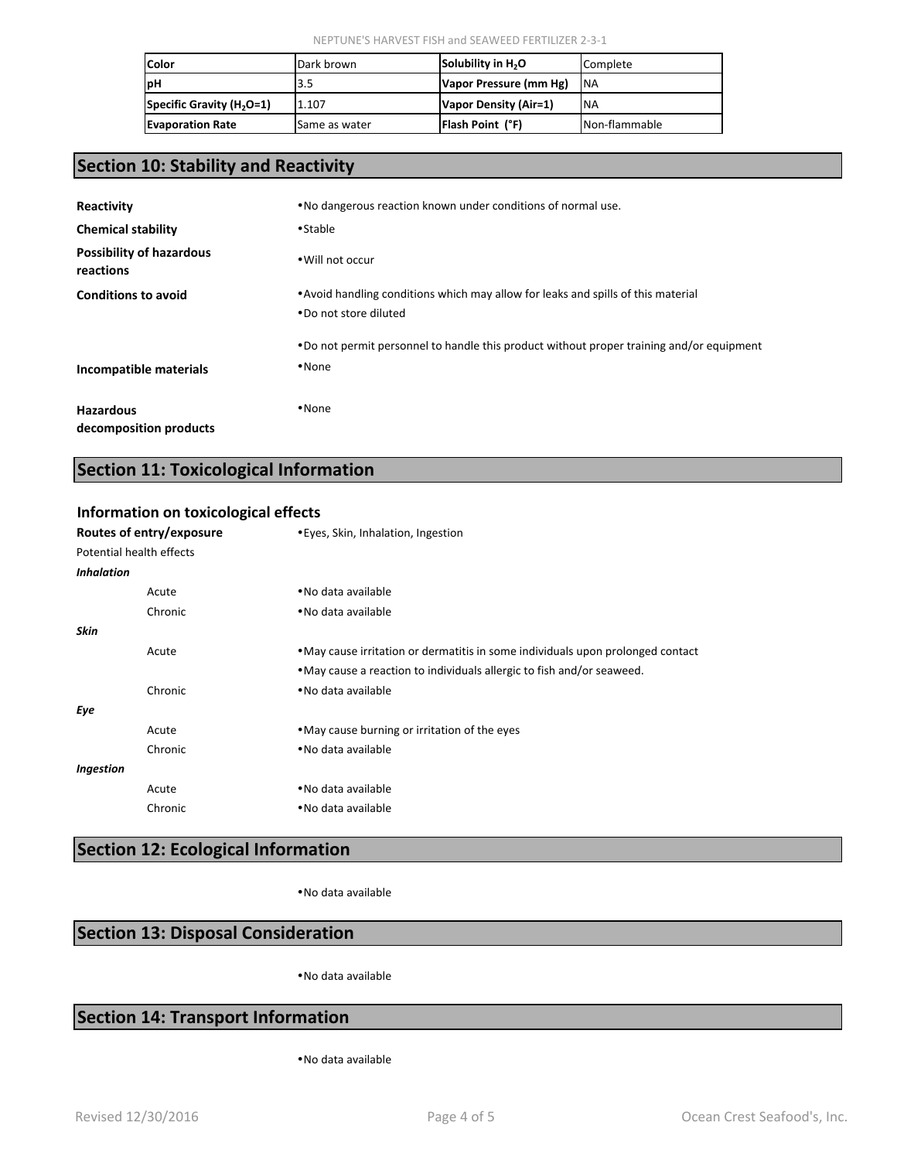| <b>Color</b>                          | Dark brown    | Solubility in H <sub>2</sub> O | Complete      |
|---------------------------------------|---------------|--------------------------------|---------------|
| <b>IpH</b>                            | 3.5           | Vapor Pressure (mm Hg)         | <b>INA</b>    |
| Specific Gravity (H <sub>2</sub> O=1) | 1.107         | Vapor Density (Air=1)          | <b>NA</b>     |
| <b>Evaporation Rate</b>               | Same as water | <b>Flash Point (°F)</b>        | Non-flammable |

## **Section 10: Stability and Reactivity**

| Reactivity                                   | .No dangerous reaction known under conditions of normal use.                                                |  |
|----------------------------------------------|-------------------------------------------------------------------------------------------------------------|--|
| <b>Chemical stability</b>                    | •Stable                                                                                                     |  |
| <b>Possibility of hazardous</b><br>reactions | . Will not occur                                                                                            |  |
| <b>Conditions to avoid</b>                   | • Avoid handling conditions which may allow for leaks and spills of this material<br>. Do not store diluted |  |
| Incompatible materials                       | •Do not permit personnel to handle this product without proper training and/or equipment<br>$\diamond$ None |  |
| <b>Hazardous</b><br>decomposition products   | $\diamond$ None                                                                                             |  |

### **Section 11: Toxicological Information**

#### **Information on toxicological effects**

| Routes of entry/exposure |         | • Eyes, Skin, Inhalation, Ingestion                                             |
|--------------------------|---------|---------------------------------------------------------------------------------|
| Potential health effects |         |                                                                                 |
| <b>Inhalation</b>        |         |                                                                                 |
|                          | Acute   | • No data available                                                             |
|                          | Chronic | • No data available                                                             |
| Skin                     |         |                                                                                 |
|                          | Acute   | • May cause irritation or dermatitis in some individuals upon prolonged contact |
|                          |         | . May cause a reaction to individuals allergic to fish and/or seaweed.          |
|                          | Chronic | • No data available                                                             |
| Eye                      |         |                                                                                 |
|                          | Acute   | • May cause burning or irritation of the eyes                                   |
|                          | Chronic | • No data available                                                             |
| Ingestion                |         |                                                                                 |
|                          | Acute   | • No data available                                                             |
|                          | Chronic | • No data available                                                             |

# **Section 12: Ecological Information**

No data available

### **Section 13: Disposal Consideration**

No data available

### **Section 14: Transport Information**

No data available